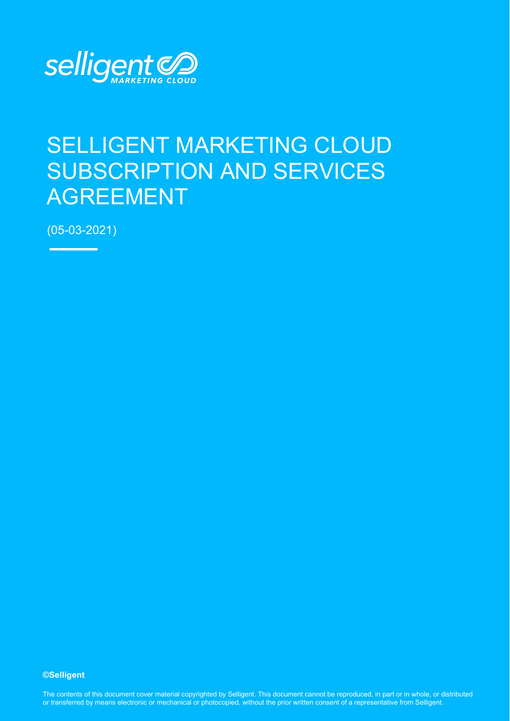

# SELLIGENT MARKETING CLOUD SUBSCRIPTION AND SERVICES AGREEMENT

(05-03-2021)

**©Selligent** 

The contents of this document cover material copyrighted by Selligent. This document cannot be reproduced, in part or in whole, or distributed or transferred by means electronic or mechanical or photocopied, without the prior written consent of a representative from Selligent.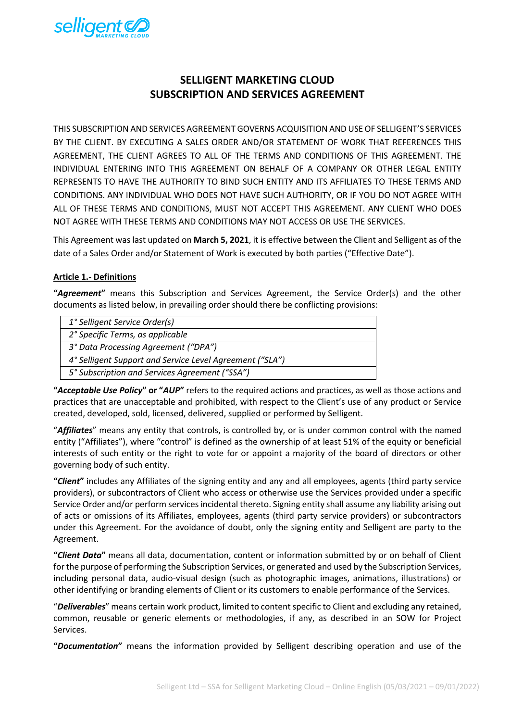

# **SELLIGENT MARKETING CLOUD SUBSCRIPTION AND SERVICES AGREEMENT**

THIS SUBSCRIPTION AND SERVICES AGREEMENT GOVERNS ACQUISITION AND USE OF SELLIGENT'S SERVICES BY THE CLIENT. BY EXECUTING A SALES ORDER AND/OR STATEMENT OF WORK THAT REFERENCES THIS AGREEMENT, THE CLIENT AGREES TO ALL OF THE TERMS AND CONDITIONS OF THIS AGREEMENT. THE INDIVIDUAL ENTERING INTO THIS AGREEMENT ON BEHALF OF A COMPANY OR OTHER LEGAL ENTITY REPRESENTS TO HAVE THE AUTHORITY TO BIND SUCH ENTITY AND ITS AFFILIATES TO THESE TERMS AND CONDITIONS. ANY INDIVIDUAL WHO DOES NOT HAVE SUCH AUTHORITY, OR IF YOU DO NOT AGREE WITH ALL OF THESE TERMS AND CONDITIONS, MUST NOT ACCEPT THIS AGREEMENT. ANY CLIENT WHO DOES NOT AGREE WITH THESE TERMS AND CONDITIONS MAY NOT ACCESS OR USE THE SERVICES.

This Agreement was last updated on **March 5, 2021**, it is effective between the Client and Selligent as of the date of a Sales Order and/or Statement of Work is executed by both parties ("Effective Date").

#### **Article 1.- Definitions**

**"***Agreement***"** means this Subscription and Services Agreement, the Service Order(s) and the other documents as listed below, in prevailing order should there be conflicting provisions:

| 1° Selligent Service Order(s)                            |
|----------------------------------------------------------|
| 2° Specific Terms, as applicable                         |
| 3° Data Processing Agreement ("DPA")                     |
| 4° Selligent Support and Service Level Agreement ("SLA") |
| 5° Subscription and Services Agreement ("SSA")           |

**"***Acceptable Use Policy***" or "***AUP***"** refers to the required actions and practices, as well as those actions and practices that are unacceptable and prohibited, with respect to the Client's use of any product or Service created, developed, sold, licensed, delivered, supplied or performed by Selligent.

"*Affiliates*" means any entity that controls, is controlled by, or is under common control with the named entity ("Affiliates"), where "control" is defined as the ownership of at least 51% of the equity or beneficial interests of such entity or the right to vote for or appoint a majority of the board of directors or other governing body of such entity.

**"***Client***"** includes any Affiliates of the signing entity and any and all employees, agents (third party service providers), or subcontractors of Client who access or otherwise use the Services provided under a specific Service Order and/or perform services incidental thereto. Signing entity shall assume any liability arising out of acts or omissions of its Affiliates, employees, agents (third party service providers) or subcontractors under this Agreement. For the avoidance of doubt, only the signing entity and Selligent are party to the Agreement.

**"***Client Data***"** means all data, documentation, content or information submitted by or on behalf of Client for the purpose of performing the Subscription Services, or generated and used by the Subscription Services, including personal data, audio-visual design (such as photographic images, animations, illustrations) or other identifying or branding elements of Client or its customers to enable performance of the Services.

"*Deliverables*" means certain work product, limited to content specific to Client and excluding any retained, common, reusable or generic elements or methodologies, if any, as described in an SOW for Project Services.

**"***Documentation***"** means the information provided by Selligent describing operation and use of the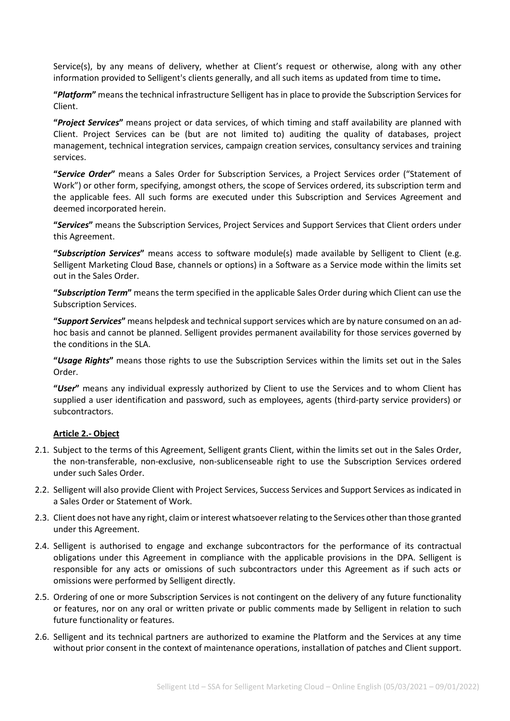Service(s), by any means of delivery, whether at Client's request or otherwise, along with any other information provided to Selligent's clients generally, and all such items as updated from time to time**.**

**"***Platform***"** means the technical infrastructure Selligent has in place to provide the Subscription Services for Client.

**"***Project Services***"** means project or data services, of which timing and staff availability are planned with Client. Project Services can be (but are not limited to) auditing the quality of databases, project management, technical integration services, campaign creation services, consultancy services and training services.

**"***Service Order***"** means a Sales Order for Subscription Services, a Project Services order ("Statement of Work") or other form, specifying, amongst others, the scope of Services ordered, its subscription term and the applicable fees. All such forms are executed under this Subscription and Services Agreement and deemed incorporated herein.

**"***Services***"** means the Subscription Services, Project Services and Support Services that Client orders under this Agreement.

**"***Subscription Services***"** means access to software module(s) made available by Selligent to Client (e.g. Selligent Marketing Cloud Base, channels or options) in a Software as a Service mode within the limits set out in the Sales Order.

**"***Subscription Term***"** means the term specified in the applicable Sales Order during which Client can use the Subscription Services.

**"***Support Services***"** means helpdesk and technical support services which are by nature consumed on an adhoc basis and cannot be planned. Selligent provides permanent availability for those services governed by the conditions in the SLA.

**"***Usage Rights***"** means those rights to use the Subscription Services within the limits set out in the Sales Order.

**"***User***"** means any individual expressly authorized by Client to use the Services and to whom Client has supplied a user identification and password, such as employees, agents (third-party service providers) or subcontractors.

#### **Article 2.- Object**

- 2.1. Subject to the terms of this Agreement, Selligent grants Client, within the limits set out in the Sales Order, the non-transferable, non-exclusive, non-sublicenseable right to use the Subscription Services ordered under such Sales Order.
- 2.2. Selligent will also provide Client with Project Services, Success Services and Support Services as indicated in a Sales Order or Statement of Work.
- 2.3. Client does not have any right, claim or interest whatsoever relating to the Services other than those granted under this Agreement.
- 2.4. Selligent is authorised to engage and exchange subcontractors for the performance of its contractual obligations under this Agreement in compliance with the applicable provisions in the DPA. Selligent is responsible for any acts or omissions of such subcontractors under this Agreement as if such acts or omissions were performed by Selligent directly.
- 2.5. Ordering of one or more Subscription Services is not contingent on the delivery of any future functionality or features, nor on any oral or written private or public comments made by Selligent in relation to such future functionality or features.
- 2.6. Selligent and its technical partners are authorized to examine the Platform and the Services at any time without prior consent in the context of maintenance operations, installation of patches and Client support.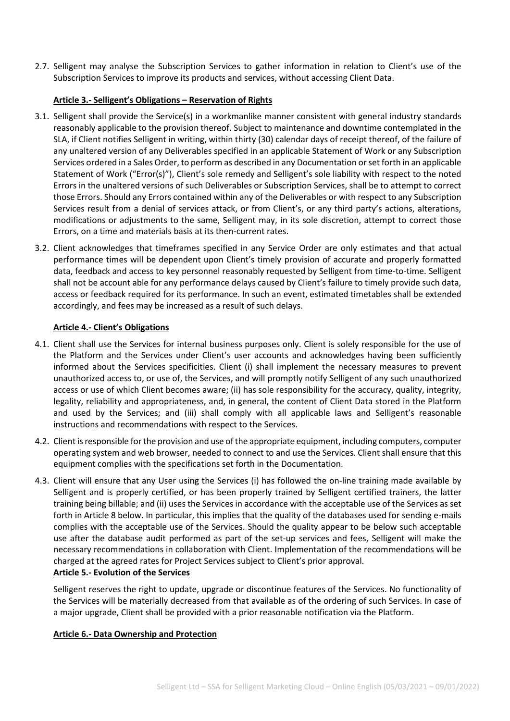2.7. Selligent may analyse the Subscription Services to gather information in relation to Client's use of the Subscription Services to improve its products and services, without accessing Client Data.

# **Article 3.- Selligent's Obligations – Reservation of Rights**

- 3.1. Selligent shall provide the Service(s) in a workmanlike manner consistent with general industry standards reasonably applicable to the provision thereof. Subject to maintenance and downtime contemplated in the SLA, if Client notifies Selligent in writing, within thirty (30) calendar days of receipt thereof, of the failure of any unaltered version of any Deliverables specified in an applicable Statement of Work or any Subscription Services ordered in a Sales Order, to perform as described in any Documentation or set forth in an applicable Statement of Work ("Error(s)"), Client's sole remedy and Selligent's sole liability with respect to the noted Errors in the unaltered versions of such Deliverables or Subscription Services, shall be to attempt to correct those Errors. Should any Errors contained within any of the Deliverables or with respect to any Subscription Services result from a denial of services attack, or from Client's, or any third party's actions, alterations, modifications or adjustments to the same, Selligent may, in its sole discretion, attempt to correct those Errors, on a time and materials basis at its then-current rates.
- 3.2. Client acknowledges that timeframes specified in any Service Order are only estimates and that actual performance times will be dependent upon Client's timely provision of accurate and properly formatted data, feedback and access to key personnel reasonably requested by Selligent from time-to-time. Selligent shall not be account able for any performance delays caused by Client's failure to timely provide such data, access or feedback required for its performance. In such an event, estimated timetables shall be extended accordingly, and fees may be increased as a result of such delays.

# **Article 4.- Client's Obligations**

- 4.1. Client shall use the Services for internal business purposes only. Client is solely responsible for the use of the Platform and the Services under Client's user accounts and acknowledges having been sufficiently informed about the Services specificities. Client (i) shall implement the necessary measures to prevent unauthorized access to, or use of, the Services, and will promptly notify Selligent of any such unauthorized access or use of which Client becomes aware; (ii) has sole responsibility for the accuracy, quality, integrity, legality, reliability and appropriateness, and, in general, the content of Client Data stored in the Platform and used by the Services; and (iii) shall comply with all applicable laws and Selligent's reasonable instructions and recommendations with respect to the Services.
- 4.2. Client is responsible forthe provision and use of the appropriate equipment, including computers, computer operating system and web browser, needed to connect to and use the Services. Client shall ensure that this equipment complies with the specifications set forth in the Documentation.
- 4.3. Client will ensure that any User using the Services (i) has followed the on-line training made available by Selligent and is properly certified, or has been properly trained by Selligent certified trainers, the latter training being billable; and (ii) uses the Services in accordance with the acceptable use of the Services as set forth in Article 8 below. In particular, this implies that the quality of the databases used for sending e-mails complies with the acceptable use of the Services. Should the quality appear to be below such acceptable use after the database audit performed as part of the set-up services and fees, Selligent will make the necessary recommendations in collaboration with Client. Implementation of the recommendations will be charged at the agreed rates for Project Services subject to Client's prior approval. **Article 5.- Evolution of the Services**

# Selligent reserves the right to update, upgrade or discontinue features of the Services. No functionality of the Services will be materially decreased from that available as of the ordering of such Services. In case of a major upgrade, Client shall be provided with a prior reasonable notification via the Platform.

#### **Article 6.- Data Ownership and Protection**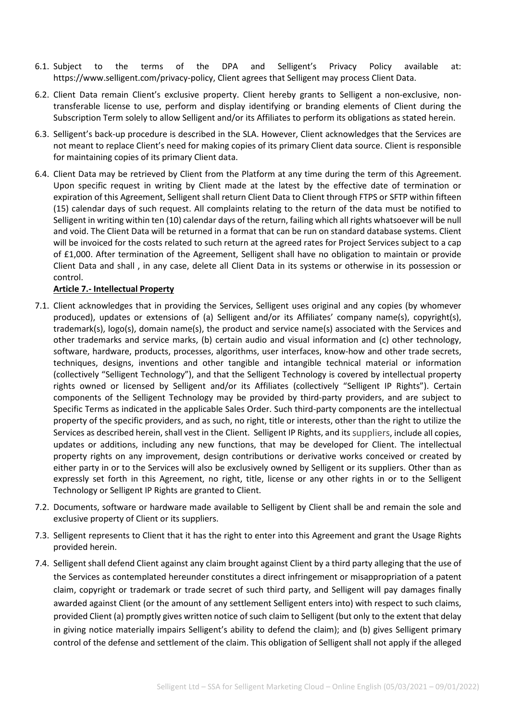- 6.1. Subject to the terms of the DPA and Selligent's Privacy Policy available at: [https://www.selligent.com/privacy-policy,](https://www.selligent.com/privacy-policy) Client agrees that Selligent may process Client Data.
- 6.2. Client Data remain Client's exclusive property. Client hereby grants to Selligent a non-exclusive, nontransferable license to use, perform and display identifying or branding elements of Client during the Subscription Term solely to allow Selligent and/or its Affiliates to perform its obligations as stated herein.
- 6.3. Selligent's back-up procedure is described in the SLA. However, Client acknowledges that the Services are not meant to replace Client's need for making copies of its primary Client data source. Client is responsible for maintaining copies of its primary Client data.
- 6.4. Client Data may be retrieved by Client from the Platform at any time during the term of this Agreement. Upon specific request in writing by Client made at the latest by the effective date of termination or expiration of this Agreement, Selligent shall return Client Data to Client through FTPS or SFTP within fifteen (15) calendar days of such request. All complaints relating to the return of the data must be notified to Selligent in writing within ten (10) calendar days of the return, failing which all rights whatsoever will be null and void. The Client Data will be returned in a format that can be run on standard database systems. Client will be invoiced for the costs related to such return at the agreed rates for Project Services subject to a cap of £1,000. After termination of the Agreement, Selligent shall have no obligation to maintain or provide Client Data and shall , in any case, delete all Client Data in its systems or otherwise in its possession or control.

# **Article 7.- Intellectual Property**

- 7.1. Client acknowledges that in providing the Services, Selligent uses original and any copies (by whomever produced), updates or extensions of (a) Selligent and/or its Affiliates' company name(s), copyright(s), trademark(s), logo(s), domain name(s), the product and service name(s) associated with the Services and other trademarks and service marks, (b) certain audio and visual information and (c) other technology, software, hardware, products, processes, algorithms, user interfaces, know-how and other trade secrets, techniques, designs, inventions and other tangible and intangible technical material or information (collectively "Selligent Technology"), and that the Selligent Technology is covered by intellectual property rights owned or licensed by Selligent and/or its Affiliates (collectively "Selligent IP Rights"). Certain components of the Selligent Technology may be provided by third-party providers, and are subject to Specific Terms as indicated in the applicable Sales Order. Such third-party components are the intellectual property of the specific providers, and as such, no right, title or interests, other than the right to utilize the Services as described herein, shall vest in the Client. Selligent IP Rights, and its suppliers, include all copies, updates or additions, including any new functions, that may be developed for Client. The intellectual property rights on any improvement, design contributions or derivative works conceived or created by either party in or to the Services will also be exclusively owned by Selligent or its suppliers. Other than as expressly set forth in this Agreement, no right, title, license or any other rights in or to the Selligent Technology or Selligent IP Rights are granted to Client.
- 7.2. Documents, software or hardware made available to Selligent by Client shall be and remain the sole and exclusive property of Client or its suppliers.
- 7.3. Selligent represents to Client that it has the right to enter into this Agreement and grant the Usage Rights provided herein.
- 7.4. Selligent shall defend Client against any claim brought against Client by a third party alleging that the use of the Services as contemplated hereunder constitutes a direct infringement or misappropriation of a patent claim, copyright or trademark or trade secret of such third party, and Selligent will pay damages finally awarded against Client (or the amount of any settlement Selligent enters into) with respect to such claims, provided Client (a) promptly gives written notice of such claim to Selligent (but only to the extent that delay in giving notice materially impairs Selligent's ability to defend the claim); and (b) gives Selligent primary control of the defense and settlement of the claim. This obligation of Selligent shall not apply if the alleged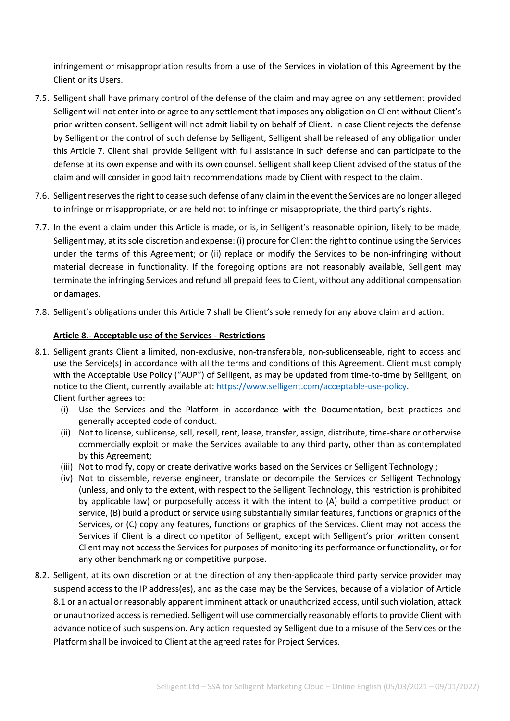infringement or misappropriation results from a use of the Services in violation of this Agreement by the Client or its Users.

- 7.5. Selligent shall have primary control of the defense of the claim and may agree on any settlement provided Selligent will not enter into or agree to any settlement that imposes any obligation on Client without Client's prior written consent. Selligent will not admit liability on behalf of Client. In case Client rejects the defense by Selligent or the control of such defense by Selligent, Selligent shall be released of any obligation under this Article 7. Client shall provide Selligent with full assistance in such defense and can participate to the defense at its own expense and with its own counsel. Selligent shall keep Client advised of the status of the claim and will consider in good faith recommendations made by Client with respect to the claim.
- 7.6. Selligent reserves the right to cease such defense of any claim in the event the Services are no longer alleged to infringe or misappropriate, or are held not to infringe or misappropriate, the third party's rights.
- 7.7. In the event a claim under this Article is made, or is, in Selligent's reasonable opinion, likely to be made, Selligent may, at its sole discretion and expense: (i) procure for Client the right to continue using the Services under the terms of this Agreement; or (ii) replace or modify the Services to be non-infringing without material decrease in functionality. If the foregoing options are not reasonably available, Selligent may terminate the infringing Services and refund all prepaid fees to Client, without any additional compensation or damages.
- 7.8. Selligent's obligations under this Article 7 shall be Client's sole remedy for any above claim and action.

# **Article 8.- Acceptable use of the Services - Restrictions**

- 8.1. Selligent grants Client a limited, non-exclusive, non-transferable, non-sublicenseable, right to access and use the Service(s) in accordance with all the terms and conditions of this Agreement. Client must comply with the Acceptable Use Policy ("AUP") of Selligent, as may be updated from time-to-time by Selligent, on notice to the Client, currently available at: [https://www.selligent.com/acceptable-use-policy.](http://www.selligent.com/acceptable-use-policy) Client further agrees to:
	- (i) Use the Services and the Platform in accordance with the Documentation, best practices and generally accepted code of conduct.
	- (ii) Not to license, sublicense, sell, resell, rent, lease, transfer, assign, distribute, time-share or otherwise commercially exploit or make the Services available to any third party, other than as contemplated by this Agreement;
	- (iii) Not to modify, copy or create derivative works based on the Services or Selligent Technology ;
	- (iv) Not to dissemble, reverse engineer, translate or decompile the Services or Selligent Technology (unless, and only to the extent, with respect to the Selligent Technology, this restriction is prohibited by applicable law) or purposefully access it with the intent to (A) build a competitive product or service, (B) build a product or service using substantially similar features, functions or graphics of the Services, or (C) copy any features, functions or graphics of the Services. Client may not access the Services if Client is a direct competitor of Selligent, except with Selligent's prior written consent. Client may not access the Services for purposes of monitoring its performance or functionality, or for any other benchmarking or competitive purpose.
- 8.2. Selligent, at its own discretion or at the direction of any then-applicable third party service provider may suspend access to the IP address(es), and as the case may be the Services, because of a violation of Article 8.1 or an actual or reasonably apparent imminent attack or unauthorized access, until such violation, attack or unauthorized access is remedied. Selligent will use commercially reasonably efforts to provide Client with advance notice of such suspension. Any action requested by Selligent due to a misuse of the Services or the Platform shall be invoiced to Client at the agreed rates for Project Services.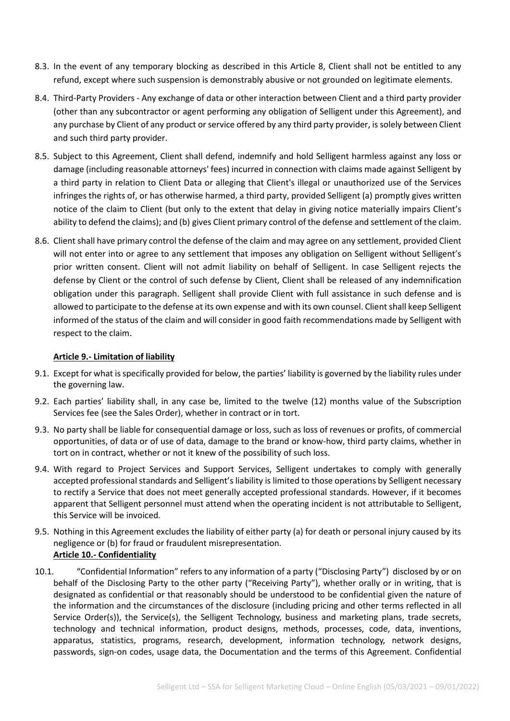- 8.3. In the event of any temporary blocking as described in this Article 8, Client shall not be entitled to any refund, except where such suspension is demonstrably abusive or not grounded on legitimate elements.
- 8.4. Third-Party Providers Any exchange of data or other interaction between Client and a third party provider (other than any subcontractor or agent performing any obligation of Selligent under this Agreement), and any purchase by Client of any product or service offered by any third party provider, is solely between Client and such third party provider.
- 8.5. Subject to this Agreement, Client shall defend, indemnify and hold Selligent harmless against any loss or damage (including reasonable attorneys' fees) incurred in connection with claims made against Selligent by a third party in relation to Client Data or alleging that Client's illegal or unauthorized use of the Services infringes the rights of, or has otherwise harmed, a third party, provided Selligent (a) promptly gives written notice of the claim to Client (but only to the extent that delay in giving notice materially impairs Client's ability to defend the claims); and (b) gives Client primary control of the defense and settlement of the claim.
- 8.6. Client shall have primary control the defense of the claim and may agree on any settlement, provided Client will not enter into or agree to any settlement that imposes any obligation on Selligent without Selligent's prior written consent. Client will not admit liability on behalf of Selligent. In case Selligent rejects the defense by Client or the control of such defense by Client, Client shall be released of any indemnification obligation under this paragraph. Selligent shall provide Client with full assistance in such defense and is allowed to participate to the defense at its own expense and with its own counsel. Client shall keep Selligent informed of the status of the claim and will consider in good faith recommendations made by Selligent with respect to the claim.

#### **Article 9.- Limitation of liability**

- 9.1. Except for what is specifically provided for below, the parties' liability is governed by the liability rules under the governing law.
- 9.2. Each parties' liability shall, in any case be, limited to the twelve (12) months value of the Subscription Services fee (see the Sales Order), whether in contract or in tort.
- 9.3. No party shall be liable for consequential damage or loss, such as loss of revenues or profits, of commercial opportunities, of data or of use of data, damage to the brand or know-how, third party claims, whether in tort on in contract, whether or not it knew of the possibility of such loss.
- 9.4. With regard to Project Services and Support Services, Selligent undertakes to comply with generally accepted professional standards and Selligent's liability is limited to those operations by Selligent necessary to rectify a Service that does not meet generally accepted professional standards. However, if it becomes apparent that Selligent personnel must attend when the operating incident is not attributable to Selligent, this Service will be invoiced.
- 9.5. Nothing in this Agreement excludes the liability of either party (a) for death or personal injury caused by its negligence or (b) for fraud or fraudulent misrepresentation. **Article 10.- Confidentiality**
- 10.1. "Confidential Information" refers to any information of a party ("Disclosing Party") disclosed by or on behalf of the Disclosing Party to the other party ("Receiving Party"), whether orally or in writing, that is designated as confidential or that reasonably should be understood to be confidential given the nature of the information and the circumstances of the disclosure (including pricing and other terms reflected in all Service Order(s)), the Service(s), the Selligent Technology, business and marketing plans, trade secrets, technology and technical information, product designs, methods, processes, code, data, inventions, apparatus, statistics, programs, research, development, information technology, network designs, passwords, sign-on codes, usage data, the Documentation and the terms of this Agreement. Confidential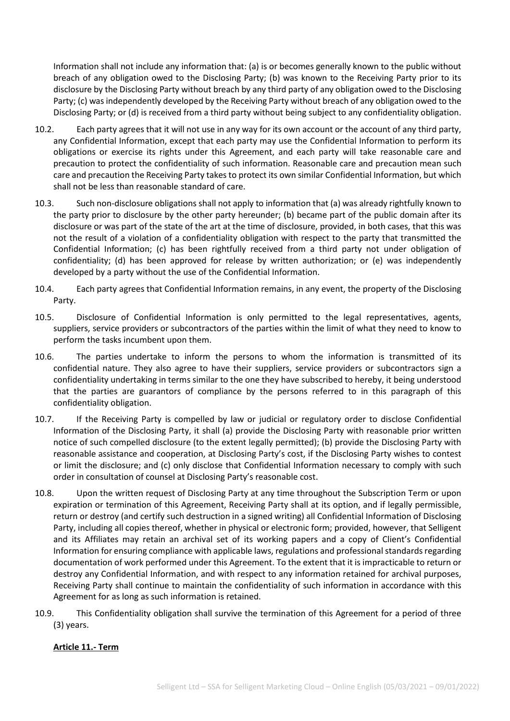Information shall not include any information that: (a) is or becomes generally known to the public without breach of any obligation owed to the Disclosing Party; (b) was known to the Receiving Party prior to its disclosure by the Disclosing Party without breach by any third party of any obligation owed to the Disclosing Party; (c) was independently developed by the Receiving Party without breach of any obligation owed to the Disclosing Party; or (d) is received from a third party without being subject to any confidentiality obligation.

- 10.2. Each party agrees that it will not use in any way for its own account or the account of any third party, any Confidential Information, except that each party may use the Confidential Information to perform its obligations or exercise its rights under this Agreement, and each party will take reasonable care and precaution to protect the confidentiality of such information. Reasonable care and precaution mean such care and precaution the Receiving Party takes to protect its own similar Confidential Information, but which shall not be less than reasonable standard of care.
- 10.3. Such non-disclosure obligations shall not apply to information that (a) was already rightfully known to the party prior to disclosure by the other party hereunder; (b) became part of the public domain after its disclosure or was part of the state of the art at the time of disclosure, provided, in both cases, that this was not the result of a violation of a confidentiality obligation with respect to the party that transmitted the Confidential Information; (c) has been rightfully received from a third party not under obligation of confidentiality; (d) has been approved for release by written authorization; or (e) was independently developed by a party without the use of the Confidential Information.
- 10.4. Each party agrees that Confidential Information remains, in any event, the property of the Disclosing Party.
- 10.5. Disclosure of Confidential Information is only permitted to the legal representatives, agents, suppliers, service providers or subcontractors of the parties within the limit of what they need to know to perform the tasks incumbent upon them.
- 10.6. The parties undertake to inform the persons to whom the information is transmitted of its confidential nature. They also agree to have their suppliers, service providers or subcontractors sign a confidentiality undertaking in terms similar to the one they have subscribed to hereby, it being understood that the parties are guarantors of compliance by the persons referred to in this paragraph of this confidentiality obligation.
- 10.7. If the Receiving Party is compelled by law or judicial or regulatory order to disclose Confidential Information of the Disclosing Party, it shall (a) provide the Disclosing Party with reasonable prior written notice of such compelled disclosure (to the extent legally permitted); (b) provide the Disclosing Party with reasonable assistance and cooperation, at Disclosing Party's cost, if the Disclosing Party wishes to contest or limit the disclosure; and (c) only disclose that Confidential Information necessary to comply with such order in consultation of counsel at Disclosing Party's reasonable cost.
- 10.8. Upon the written request of Disclosing Party at any time throughout the Subscription Term or upon expiration or termination of this Agreement, Receiving Party shall at its option, and if legally permissible, return or destroy (and certify such destruction in a signed writing) all Confidential Information of Disclosing Party, including all copies thereof, whether in physical or electronic form; provided, however, that Selligent and its Affiliates may retain an archival set of its working papers and a copy of Client's Confidential Information for ensuring compliance with applicable laws, regulations and professional standards regarding documentation of work performed under this Agreement. To the extent that it is impracticable to return or destroy any Confidential Information, and with respect to any information retained for archival purposes, Receiving Party shall continue to maintain the confidentiality of such information in accordance with this Agreement for as long as such information is retained.
- 10.9. This Confidentiality obligation shall survive the termination of this Agreement for a period of three (3) years.

# **Article 11.- Term**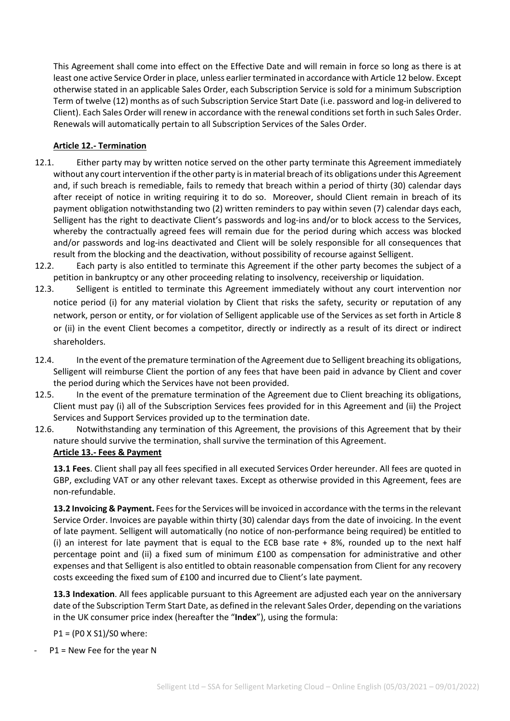This Agreement shall come into effect on the Effective Date and will remain in force so long as there is at least one active Service Order in place, unless earlier terminated in accordance with Article 12 below. Except otherwise stated in an applicable Sales Order, each Subscription Service is sold for a minimum Subscription Term of twelve (12) months as of such Subscription Service Start Date (i.e. password and log-in delivered to Client). Each Sales Order will renew in accordance with the renewal conditions set forth in such Sales Order. Renewals will automatically pertain to all Subscription Services of the Sales Order.

# **Article 12.- Termination**

- 12.1. Either party may by written notice served on the other party terminate this Agreement immediately without any court intervention if the other party is in material breach of its obligations under this Agreement and, if such breach is remediable, fails to remedy that breach within a period of thirty (30) calendar days after receipt of notice in writing requiring it to do so. Moreover, should Client remain in breach of its payment obligation notwithstanding two (2) written reminders to pay within seven (7) calendar days each, Selligent has the right to deactivate Client's passwords and log-ins and/or to block access to the Services, whereby the contractually agreed fees will remain due for the period during which access was blocked and/or passwords and log-ins deactivated and Client will be solely responsible for all consequences that result from the blocking and the deactivation, without possibility of recourse against Selligent.
- 12.2. Each party is also entitled to terminate this Agreement if the other party becomes the subject of a petition in bankruptcy or any other proceeding relating to insolvency, receivership or liquidation.
- 12.3. Selligent is entitled to terminate this Agreement immediately without any court intervention nor notice period (i) for any material violation by Client that risks the safety, security or reputation of any network, person or entity, or for violation of Selligent applicable use of the Services as set forth in Article 8 or (ii) in the event Client becomes a competitor, directly or indirectly as a result of its direct or indirect shareholders.
- 12.4. In the event of the premature termination of the Agreement due to Selligent breaching its obligations, Selligent will reimburse Client the portion of any fees that have been paid in advance by Client and cover the period during which the Services have not been provided.
- 12.5. In the event of the premature termination of the Agreement due to Client breaching its obligations, Client must pay (i) all of the Subscription Services fees provided for in this Agreement and (ii) the Project Services and Support Services provided up to the termination date.
- 12.6. Notwithstanding any termination of this Agreement, the provisions of this Agreement that by their nature should survive the termination, shall survive the termination of this Agreement. **Article 13.- Fees & Payment**

**13.1 Fees**. Client shall pay all fees specified in all executed Services Order hereunder. All fees are quoted in GBP, excluding VAT or any other relevant taxes. Except as otherwise provided in this Agreement, fees are non-refundable.

**13.2 Invoicing & Payment.** Fees for the Services will be invoiced in accordance with the terms in the relevant Service Order. Invoices are payable within thirty (30) calendar days from the date of invoicing. In the event of late payment. Selligent will automatically (no notice of non-performance being required) be entitled to (i) an interest for late payment that is equal to the ECB base rate + 8%, rounded up to the next half percentage point and (ii) a fixed sum of minimum £100 as compensation for administrative and other expenses and that Selligent is also entitled to obtain reasonable compensation from Client for any recovery costs exceeding the fixed sum of £100 and incurred due to Client's late payment.

**13.3 Indexation**. All fees applicable pursuant to this Agreement are adjusted each year on the anniversary date of the Subscription Term Start Date, as defined in the relevant Sales Order, depending on the variations in the UK consumer price index (hereafter the "**Index**"), using the formula:

P1 = (P0 X S1)/S0 where:

 $P1$  = New Fee for the year N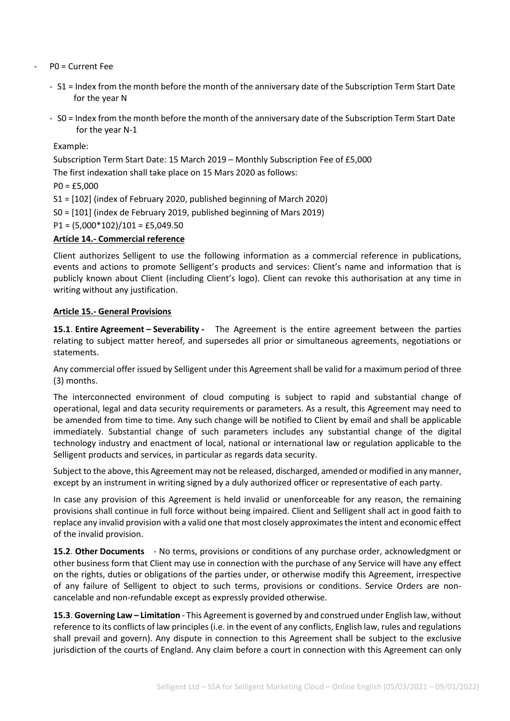- P0 = Current Fee
	- S1 = Index from the month before the month of the anniversary date of the Subscription Term Start Date for the year N
	- S0 = Index from the month before the month of the anniversary date of the Subscription Term Start Date for the year N-1

Example:

Subscription Term Start Date: 15 March 2019 – Monthly Subscription Fee of £5,000

The first indexation shall take place on 15 Mars 2020 as follows:

 $PO = £5,000$ 

S1 = [102] (index of February 2020, published beginning of March 2020)

S0 = [101] (index de February 2019, published beginning of Mars 2019)

 $P1 = (5,000*102)/101 = £5,049.50$ 

#### **Article 14.- Commercial reference**

Client authorizes Selligent to use the following information as a commercial reference in publications, events and actions to promote Selligent's products and services: Client's name and information that is publicly known about Client (including Client's logo). Client can revoke this authorisation at any time in writing without any justification.

#### **Article 15.- General Provisions**

**15.1**. **Entire Agreement – Severability -** The Agreement is the entire agreement between the parties relating to subject matter hereof, and supersedes all prior or simultaneous agreements, negotiations or statements.

Any commercial offer issued by Selligent under this Agreement shall be valid for a maximum period of three (3) months.

The interconnected environment of cloud computing is subject to rapid and substantial change of operational, legal and data security requirements or parameters. As a result, this Agreement may need to be amended from time to time. Any such change will be notified to Client by email and shall be applicable immediately. Substantial change of such parameters includes any substantial change of the digital technology industry and enactment of local, national or international law or regulation applicable to the Selligent products and services, in particular as regards data security.

Subject to the above, this Agreement may not be released, discharged, amended or modified in any manner, except by an instrument in writing signed by a duly authorized officer or representative of each party.

In case any provision of this Agreement is held invalid or unenforceable for any reason, the remaining provisions shall continue in full force without being impaired. Client and Selligent shall act in good faith to replace any invalid provision with a valid one that most closely approximates the intent and economic effect of the invalid provision.

**15.2**. **Other Documents** - No terms, provisions or conditions of any purchase order, acknowledgment or other business form that Client may use in connection with the purchase of any Service will have any effect on the rights, duties or obligations of the parties under, or otherwise modify this Agreement, irrespective of any failure of Selligent to object to such terms, provisions or conditions. Service Orders are noncancelable and non-refundable except as expressly provided otherwise.

**15.3**. **Governing Law – Limitation** - This Agreement is governed by and construed under English law, without reference to its conflicts of law principles (i.e. in the event of any conflicts, English law, rules and regulations shall prevail and govern). Any dispute in connection to this Agreement shall be subject to the exclusive jurisdiction of the courts of England. Any claim before a court in connection with this Agreement can only